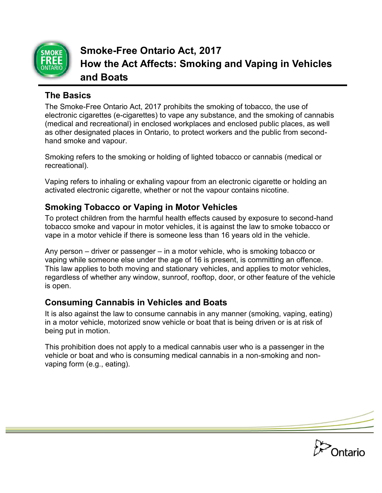

**Smoke-Free Ontario Act, 2017 How the Act Affects: Smoking and Vaping in Vehicles and Boats**

### **The Basics**

The Smoke-Free Ontario Act, 2017 prohibits the smoking of tobacco, the use of electronic cigarettes (e-cigarettes) to vape any substance, and the smoking of cannabis (medical and recreational) in enclosed workplaces and enclosed public places, as well as other designated places in Ontario, to protect workers and the public from secondhand smoke and vapour.

Smoking refers to the smoking or holding of lighted tobacco or cannabis (medical or recreational).

Vaping refers to inhaling or exhaling vapour from an electronic cigarette or holding an activated electronic cigarette, whether or not the vapour contains nicotine.

## **Smoking Tobacco or Vaping in Motor Vehicles**

To protect children from the harmful health effects caused by exposure to second-hand tobacco smoke and vapour in motor vehicles, it is against the law to smoke tobacco or vape in a motor vehicle if there is someone less than 16 years old in the vehicle.

Any person – driver or passenger – in a motor vehicle, who is smoking tobacco or vaping while someone else under the age of 16 is present, is committing an offence. This law applies to both moving and stationary vehicles, and applies to motor vehicles, regardless of whether any window, sunroof, rooftop, door, or other feature of the vehicle is open.

# **Consuming Cannabis in Vehicles and Boats**

It is also against the law to consume cannabis in any manner (smoking, vaping, eating) in a motor vehicle, motorized snow vehicle or boat that is being driven or is at risk of being put in motion.

This prohibition does not apply to a medical cannabis user who is a passenger in the vehicle or boat and who is consuming medical cannabis in a non-smoking and nonvaping form (e.g., eating).